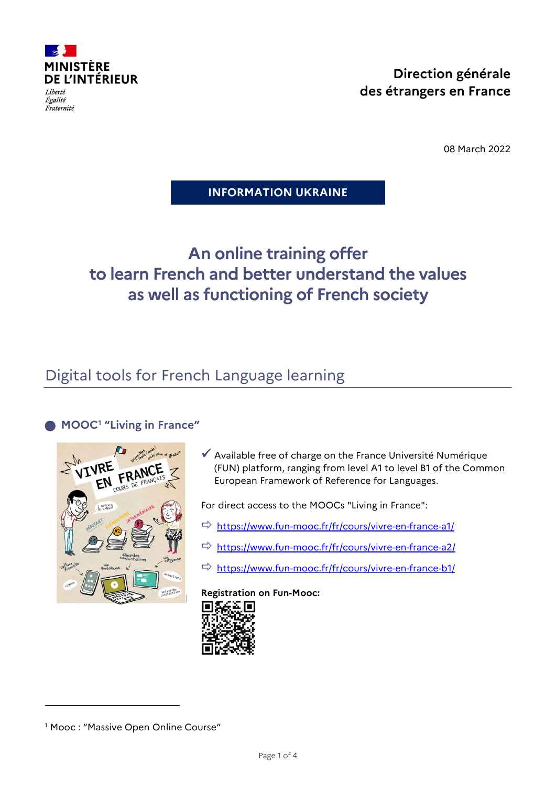

Égalité Fraternité

08 March 2022

### **INFORMATION UKRAINE**

# **An online training offer to learn French and better understand the values as well as functioning of French society**

## Digital tools for French Language learning

## **MOOC[1](#page-0-0) "Living in France"**



 $\checkmark$  Available free of charge on the France Université Numérique (FUN) platform, ranging from level A1 to level B1 of the Common European Framework of Reference for Languages.

For direct access to the MOOCs "Living in France":

- $\Rightarrow$  <https://www.fun-mooc.fr/fr/cours/vivre-en-france-a1/>
- <https://www.fun-mooc.fr/fr/cours/vivre-en-france-a2/>
- <https://www.fun-mooc.fr/fr/cours/vivre-en-france-b1/>

**Registration on Fun-Mooc:**



j

<span id="page-0-0"></span><sup>&</sup>lt;sup>1</sup> Mooc : "Massive Open Online Course"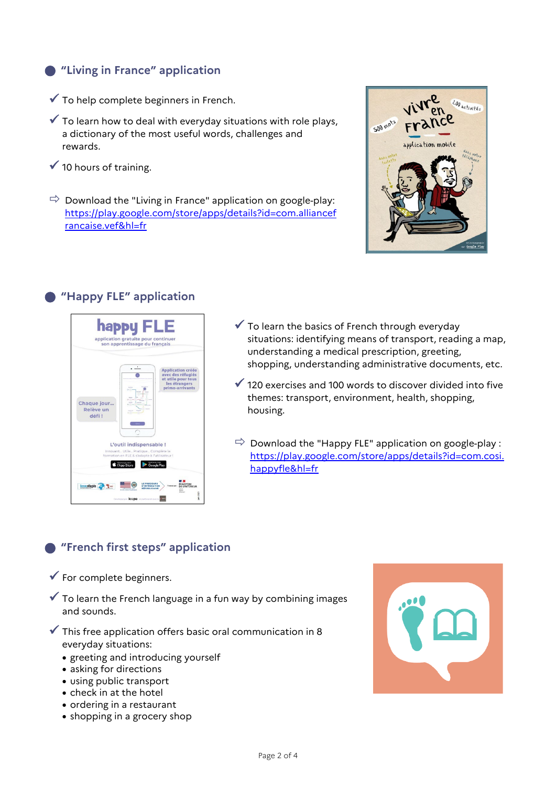## **"Living in France" application**

- $\checkmark$  To help complete beginners in French.
- $\checkmark$  To learn how to deal with everyday situations with role plays, a dictionary of the most useful words, challenges and rewards.
- $\checkmark$  10 hours of training.
- $\Rightarrow$  Download the "Living in France" application on google-play: [https://play.google.com/store/apps/details?id=com.alliancef](https://play.google.com/store/apps/details?id=com.alliancefrancaise.vef&hl=fr) [rancaise.vef&hl=fr](https://play.google.com/store/apps/details?id=com.alliancefrancaise.vef&hl=fr)



## **"Happy FLE" application**



- $\checkmark$  To learn the basics of French through everyday situations: identifying means of transport, reading a map, understanding a medical prescription, greeting, shopping, understanding administrative documents, etc.
- $\checkmark$  120 exercises and 100 words to discover divided into five themes: transport, environment, health, shopping, housing.
- $\Rightarrow$  Download the "Happy FLE" application on google-play : [https://play.google.com/store/apps/details?id=com.cosi.](https://play.google.com/store/apps/details?id=com.cosi.happyfle&hl=fr) [happyfle&hl=fr](https://play.google.com/store/apps/details?id=com.cosi.happyfle&hl=fr)

## **"French first steps" application**

- $\checkmark$  For complete beginners.
- $\checkmark$  To learn the French language in a fun way by combining images and sounds.
- $\checkmark$  This free application offers basic oral communication in 8 everyday situations:
	- greeting and introducing yourself
	- asking for directions
	- using public transport
	- check in at the hotel
	- ordering in a restaurant
	- shopping in a grocery shop

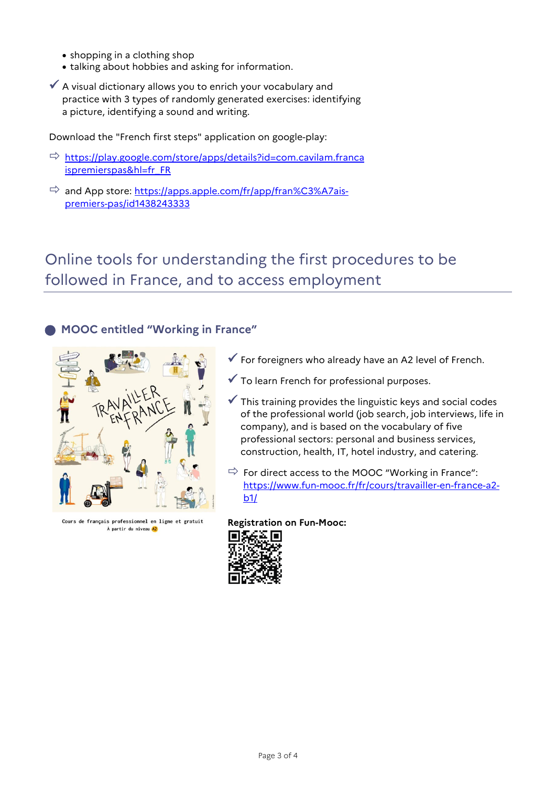- shopping in a clothing shop
- talking about hobbies and asking for information.
- $\checkmark$  A visual dictionary allows you to enrich your vocabulary and practice with 3 types of randomly generated exercises: identifying a picture, identifying a sound and writing.

Download the "French first steps" application on google-play:

- $\Rightarrow$  [https://play.google.com/store/apps/details?id=com.cavilam.franca](https://play.google.com/store/apps/details?id=com.cavilam.francaispremierspas&hl=fr_FR) [ispremierspas&hl=fr\\_FR](https://play.google.com/store/apps/details?id=com.cavilam.francaispremierspas&hl=fr_FR)
- $\Rightarrow$  and App store: [https://apps.apple.com/fr/app/fran%C3%A7ais](https://apps.apple.com/fr/app/fran%C3%A7ais-premiers-pas/id1438243333)[premiers-pas/id1438243333](https://apps.apple.com/fr/app/fran%C3%A7ais-premiers-pas/id1438243333)

## Online tools for understanding the first procedures to be followed in France, and to access employment

### **MOOC entitled "Working in France"**



Cours de français professionnel en ligne et gratuit À partir du niveau A2

- $\checkmark$  For foreigners who already have an A2 level of French.
- To learn French for professional purposes.
- $\checkmark$  This training provides the linguistic keys and social codes of the professional world (job search, job interviews, life in company), and is based on the vocabulary of five professional sectors: personal and business services, construction, health, IT, hotel industry, and catering.
- $\Rightarrow$  For direct access to the MOOC "Working in France": [https://www.fun-mooc.fr/fr/cours/travailler-en-france-a2](https://www.fun-mooc.fr/fr/cours/travailler-en-france-a2-b1/)  $b1/$